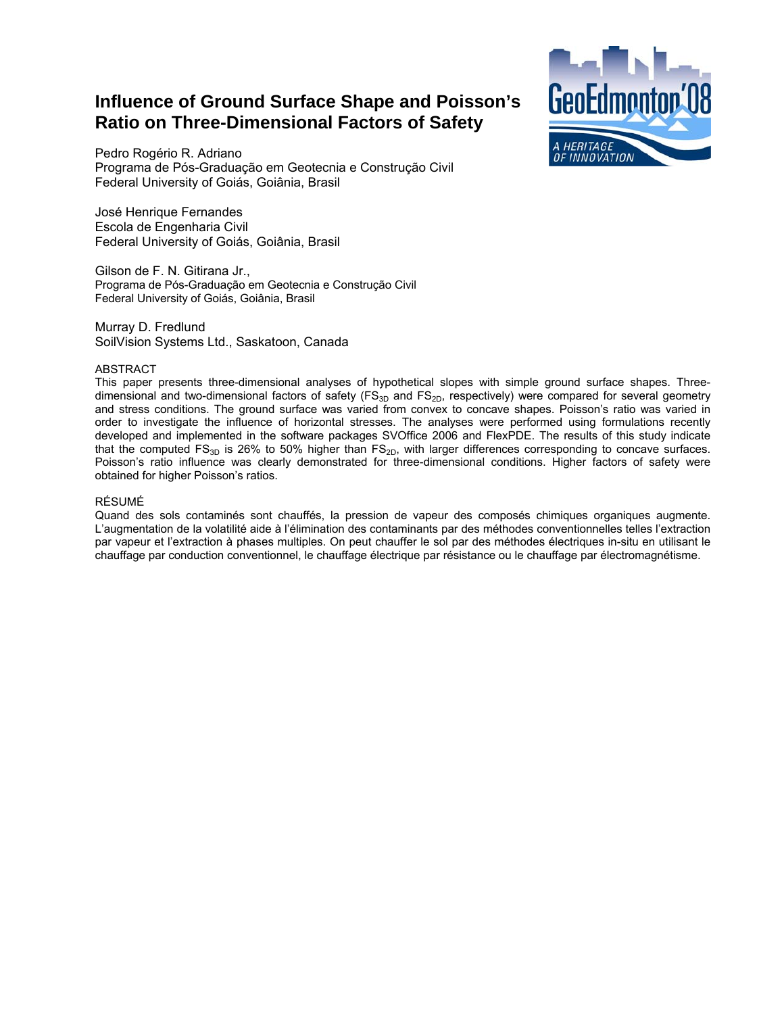# **Influence of Ground Surface Shape and Poisson's Ratio on Three-Dimensional Factors of Safety**



Pedro Rogério R. Adriano Programa de Pós-Graduação em Geotecnia e Construção Civil Federal University of Goiás, Goiânia, Brasil

José Henrique Fernandes Escola de Engenharia Civil Federal University of Goiás, Goiânia, Brasil

Gilson de F. N. Gitirana Jr., Programa de Pós-Graduação em Geotecnia e Construção Civil Federal University of Goiás, Goiânia, Brasil

Murray D. Fredlund SoilVision Systems Ltd., Saskatoon, Canada

# **ABSTRACT**

This paper presents three-dimensional analyses of hypothetical slopes with simple ground surface shapes. Threedimensional and two-dimensional factors of safety  $(FS_{3D}$  and  $FS_{2D}$ , respectively) were compared for several geometry and stress conditions. The ground surface was varied from convex to concave shapes. Poisson's ratio was varied in order to investigate the influence of horizontal stresses. The analyses were performed using formulations recently developed and implemented in the software packages SVOffice 2006 and FlexPDE. The results of this study indicate that the computed  $FS_{3D}$  is 26% to 50% higher than  $FS_{2D}$ , with larger differences corresponding to concave surfaces. Poisson's ratio influence was clearly demonstrated for three-dimensional conditions. Higher factors of safety were obtained for higher Poisson's ratios.

# RÉSUMÉ

Quand des sols contaminés sont chauffés, la pression de vapeur des composés chimiques organiques augmente. L'augmentation de la volatilité aide à l'élimination des contaminants par des méthodes conventionnelles telles l'extraction par vapeur et l'extraction à phases multiples. On peut chauffer le sol par des méthodes électriques in-situ en utilisant le chauffage par conduction conventionnel, le chauffage électrique par résistance ou le chauffage par électromagnétisme.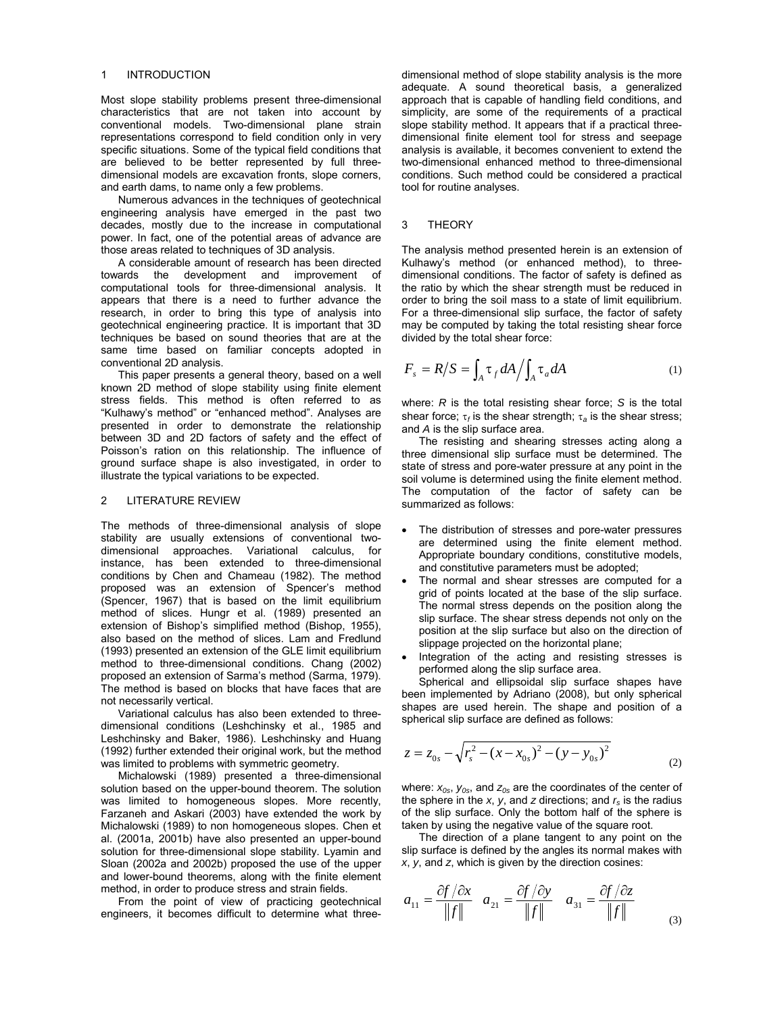#### 1 INTRODUCTION

Most slope stability problems present three-dimensional characteristics that are not taken into account by conventional models. Two-dimensional plane strain representations correspond to field condition only in very specific situations. Some of the typical field conditions that are believed to be better represented by full threedimensional models are excavation fronts, slope corners, and earth dams, to name only a few problems.

Numerous advances in the techniques of geotechnical engineering analysis have emerged in the past two decades, mostly due to the increase in computational power. In fact, one of the potential areas of advance are those areas related to techniques of 3D analysis.

A considerable amount of research has been directed towards the development and improvement of computational tools for three-dimensional analysis. It appears that there is a need to further advance the research, in order to bring this type of analysis into geotechnical engineering practice. It is important that 3D techniques be based on sound theories that are at the same time based on familiar concepts adopted in conventional 2D analysis.

This paper presents a general theory, based on a well known 2D method of slope stability using finite element stress fields. This method is often referred to as "Kulhawy's method" or "enhanced method". Analyses are presented in order to demonstrate the relationship between 3D and 2D factors of safety and the effect of Poisson's ration on this relationship. The influence of ground surface shape is also investigated, in order to illustrate the typical variations to be expected.

# 2 LITERATURE REVIEW

The methods of three-dimensional analysis of slope stability are usually extensions of conventional twodimensional approaches. Variational calculus, for instance, has been extended to three-dimensional conditions by Chen and Chameau (1982). The method proposed was an extension of Spencer's method (Spencer, 1967) that is based on the limit equilibrium method of slices. Hungr et al. (1989) presented an extension of Bishop's simplified method (Bishop, 1955), also based on the method of slices. Lam and Fredlund (1993) presented an extension of the GLE limit equilibrium method to three-dimensional conditions. Chang (2002) proposed an extension of Sarma's method (Sarma, 1979). The method is based on blocks that have faces that are not necessarily vertical.

Variational calculus has also been extended to threedimensional conditions (Leshchinsky et al., 1985 and Leshchinsky and Baker, 1986). Leshchinsky and Huang (1992) further extended their original work, but the method was limited to problems with symmetric geometry.

Michalowski (1989) presented a three-dimensional solution based on the upper-bound theorem. The solution was limited to homogeneous slopes. More recently, Farzaneh and Askari (2003) have extended the work by Michalowski (1989) to non homogeneous slopes. Chen et al. (2001a, 2001b) have also presented an upper-bound solution for three-dimensional slope stability. Lyamin and Sloan (2002a and 2002b) proposed the use of the upper and lower-bound theorems, along with the finite element method, in order to produce stress and strain fields.

From the point of view of practicing geotechnical engineers, it becomes difficult to determine what three-

dimensional method of slope stability analysis is the more adequate. A sound theoretical basis, a generalized approach that is capable of handling field conditions, and simplicity, are some of the requirements of a practical slope stability method. It appears that if a practical threedimensional finite element tool for stress and seepage analysis is available, it becomes convenient to extend the two-dimensional enhanced method to three-dimensional conditions. Such method could be considered a practical tool for routine analyses.

# 3 THEORY

The analysis method presented herein is an extension of Kulhawy's method (or enhanced method), to threedimensional conditions. The factor of safety is defined as the ratio by which the shear strength must be reduced in order to bring the soil mass to a state of limit equilibrium. For a three-dimensional slip surface, the factor of safety may be computed by taking the total resisting shear force divided by the total shear force:

$$
F_s = R/S = \int_A \tau_f dA / \int_A \tau_a dA \tag{1}
$$

where: *R* is the total resisting shear force; *S* is the total shear force; τ*f* is the shear strength; τ*a* is the shear stress; and *A* is the slip surface area.

The resisting and shearing stresses acting along a three dimensional slip surface must be determined. The state of stress and pore-water pressure at any point in the soil volume is determined using the finite element method. The computation of the factor of safety can be summarized as follows:

- The distribution of stresses and pore-water pressures are determined using the finite element method. Appropriate boundary conditions, constitutive models, and constitutive parameters must be adopted;
- The normal and shear stresses are computed for a grid of points located at the base of the slip surface. The normal stress depends on the position along the slip surface. The shear stress depends not only on the position at the slip surface but also on the direction of slippage projected on the horizontal plane;
- Integration of the acting and resisting stresses is performed along the slip surface area.

Spherical and ellipsoidal slip surface shapes have been implemented by Adriano (2008), but only spherical shapes are used herein. The shape and position of a spherical slip surface are defined as follows:

$$
z = z_{0s} - \sqrt{r_s^2 - (x - x_{0s})^2 - (y - y_{0s})^2}
$$
 (2)

where:  $x_{0s}$ ,  $y_{0s}$ , and  $z_{0s}$  are the coordinates of the center of the sphere in the *x*, *y*, and *z* directions; and  $r_s$  is the radius of the slip surface. Only the bottom half of the sphere is taken by using the negative value of the square root.

The direction of a plane tangent to any point on the slip surface is defined by the angles its normal makes with *x*, *y*, and *z*, which is given by the direction cosines:

$$
a_{11} = \frac{\partial f}{\partial x} \quad a_{21} = \frac{\partial f}{\partial y} \quad a_{31} = \frac{\partial f}{\partial z}
$$
\n
$$
(3)
$$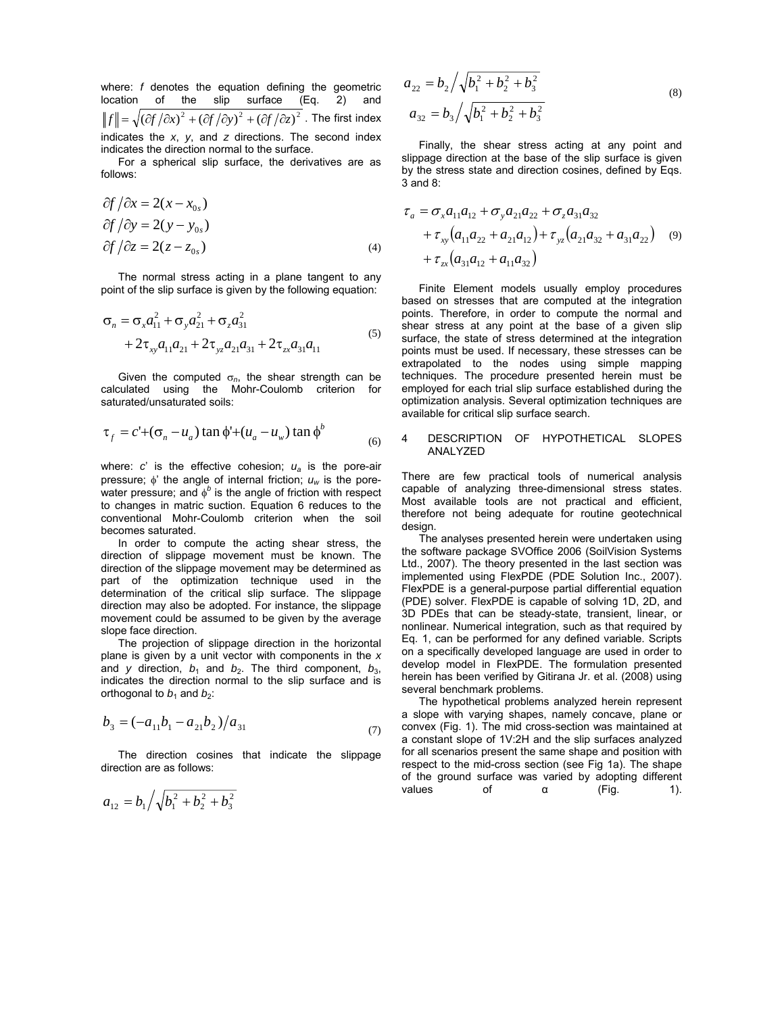where: *f* denotes the equation defining the geometric location of the slip surface (Eq. 2) and  $||f|| = \sqrt{\left(\frac{\partial f}{\partial x}\right)^2 + \left(\frac{\partial f}{\partial y}\right)^2 + \left(\frac{\partial f}{\partial z}\right)^2}$ . The first index indicates the *x*, *y*, and *z* directions. The second index indicates the direction normal to the surface.

For a spherical slip surface, the derivatives are as follows:

$$
\partial f / \partial x = 2(x - x_{0s})
$$
  
\n
$$
\partial f / \partial y = 2(y - y_{0s})
$$
  
\n
$$
\partial f / \partial z = 2(z - z_{0s})
$$
\n(4)

The normal stress acting in a plane tangent to any point of the slip surface is given by the following equation:

$$
\sigma_n = \sigma_x a_{11}^2 + \sigma_y a_{21}^2 + \sigma_z a_{31}^2 + 2\tau_{xy} a_{11} a_{21} + 2\tau_{yz} a_{21} a_{31} + 2\tau_{zx} a_{31} a_{11}
$$
\n<sup>(5)</sup>

Given the computed  $\sigma_n$ , the shear strength can be calculated using the Mohr-Coulomb criterion for saturated/unsaturated soils:

$$
\tau_f = c' + (\sigma_n - u_a) \tan \phi' + (u_a - u_w) \tan \phi'
$$
 (6)

where:  $c'$  is the effective cohesion;  $u_a$  is the pore-air pressure; φ' the angle of internal friction; *uw* is the porewater pressure; and  $\phi^b$  is the angle of friction with respect to changes in matric suction. Equation 6 reduces to the conventional Mohr-Coulomb criterion when the soil becomes saturated.

In order to compute the acting shear stress, the direction of slippage movement must be known. The direction of the slippage movement may be determined as part of the optimization technique used in the determination of the critical slip surface. The slippage direction may also be adopted. For instance, the slippage movement could be assumed to be given by the average slope face direction.

The projection of slippage direction in the horizontal plane is given by a unit vector with components in the *x* and *y* direction,  $b_1$  and  $b_2$ . The third component,  $b_3$ , indicates the direction normal to the slip surface and is orthogonal to  $b_1$  and  $b_2$ :

$$
b_3 = (-a_{11}b_1 - a_{21}b_2)/a_{31}
$$
 (7)

The direction cosines that indicate the slippage direction are as follows:

$$
a_{12} = b_1 \sqrt{b_1^2 + b_2^2 + b_3^2}
$$

$$
a_{22} = b_2 / \sqrt{b_1^2 + b_2^2 + b_3^2}
$$
  
\n
$$
a_{32} = b_3 / \sqrt{b_1^2 + b_2^2 + b_3^2}
$$
\n(8)

Finally, the shear stress acting at any point and slippage direction at the base of the slip surface is given by the stress state and direction cosines, defined by Eqs. 3 and 8:

$$
\tau_a = \sigma_x a_{11} a_{12} + \sigma_y a_{21} a_{22} + \sigma_z a_{31} a_{32} \n+ \tau_{xy} (a_{11} a_{22} + a_{21} a_{12}) + \tau_{yz} (a_{21} a_{32} + a_{31} a_{22})
$$
\n
$$
+ \tau_{zx} (a_{31} a_{12} + a_{11} a_{32})
$$
\n(9)

Finite Element models usually employ procedures based on stresses that are computed at the integration points. Therefore, in order to compute the normal and shear stress at any point at the base of a given slip surface, the state of stress determined at the integration points must be used. If necessary, these stresses can be extrapolated to the nodes using simple mapping techniques. The procedure presented herein must be employed for each trial slip surface established during the optimization analysis. Several optimization techniques are available for critical slip surface search.

#### 4 DESCRIPTION OF HYPOTHETICAL SLOPES ANALYZED

There are few practical tools of numerical analysis capable of analyzing three-dimensional stress states. Most available tools are not practical and efficient, therefore not being adequate for routine geotechnical design.

The analyses presented herein were undertaken using the software package SVOffice 2006 (SoilVision Systems Ltd., 2007). The theory presented in the last section was implemented using FlexPDE (PDE Solution Inc., 2007). FlexPDE is a general-purpose partial differential equation (PDE) solver. FlexPDE is capable of solving 1D, 2D, and 3D PDEs that can be steady-state, transient, linear, or nonlinear. Numerical integration, such as that required by Eq. 1, can be performed for any defined variable. Scripts on a specifically developed language are used in order to develop model in FlexPDE. The formulation presented herein has been verified by Gitirana Jr. et al. (2008) using several benchmark problems.

The hypothetical problems analyzed herein represent a slope with varying shapes, namely concave, plane or convex (Fig. 1). The mid cross-section was maintained at a constant slope of 1V:2H and the slip surfaces analyzed for all scenarios present the same shape and position with respect to the mid-cross section (see Fig 1a). The shape of the ground surface was varied by adopting different values of α (Fig. 1).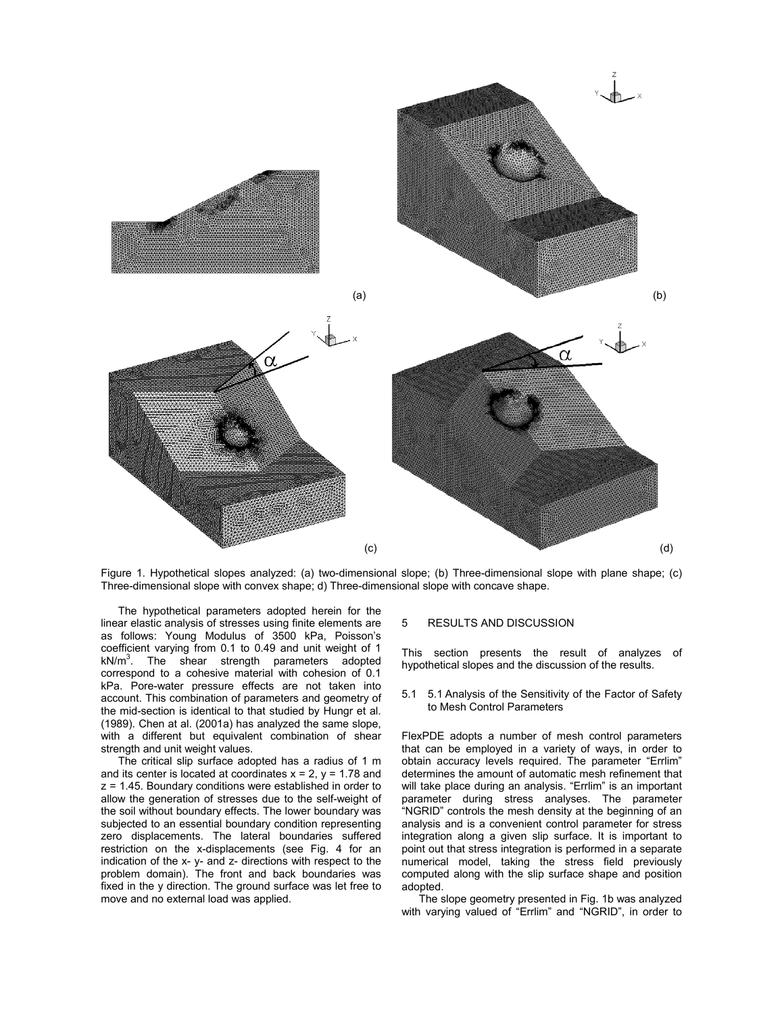

Figure 1. Hypothetical slopes analyzed: (a) two-dimensional slope; (b) Three-dimensional slope with plane shape; (c) Three-dimensional slope with convex shape; d) Three-dimensional slope with concave shape.

The hypothetical parameters adopted herein for the linear elastic analysis of stresses using finite elements are as follows: Young Modulus of 3500 kPa, Poisson's coefficient varying from 0.1 to 0.49 and unit weight of 1  $kN/m<sup>3</sup>$ . The shear strength parameters adopted correspond to a cohesive material with cohesion of 0.1 kPa. Pore-water pressure effects are not taken into account. This combination of parameters and geometry of the mid-section is identical to that studied by Hungr et al. (1989). Chen at al. (2001a) has analyzed the same slope, with a different but equivalent combination of shear strength and unit weight values.

The critical slip surface adopted has a radius of 1 m and its center is located at coordinates  $x = 2$ ,  $y = 1.78$  and z = 1.45. Boundary conditions were established in order to allow the generation of stresses due to the self-weight of the soil without boundary effects. The lower boundary was subjected to an essential boundary condition representing zero displacements. The lateral boundaries suffered restriction on the x-displacements (see Fig. 4 for an indication of the x- y- and z- directions with respect to the problem domain). The front and back boundaries was fixed in the y direction. The ground surface was let free to move and no external load was applied.

## 5 RESULTS AND DISCUSSION

This section presents the result of analyzes of hypothetical slopes and the discussion of the results.

5.1 5.1 Analysis of the Sensitivity of the Factor of Safety to Mesh Control Parameters

FlexPDE adopts a number of mesh control parameters that can be employed in a variety of ways, in order to obtain accuracy levels required. The parameter "Errlim" determines the amount of automatic mesh refinement that will take place during an analysis. "Errlim" is an important parameter during stress analyses. The parameter "NGRID" controls the mesh density at the beginning of an analysis and is a convenient control parameter for stress integration along a given slip surface. It is important to point out that stress integration is performed in a separate numerical model, taking the stress field previously computed along with the slip surface shape and position adopted.

The slope geometry presented in Fig. 1b was analyzed with varying valued of "Errlim" and "NGRID", in order to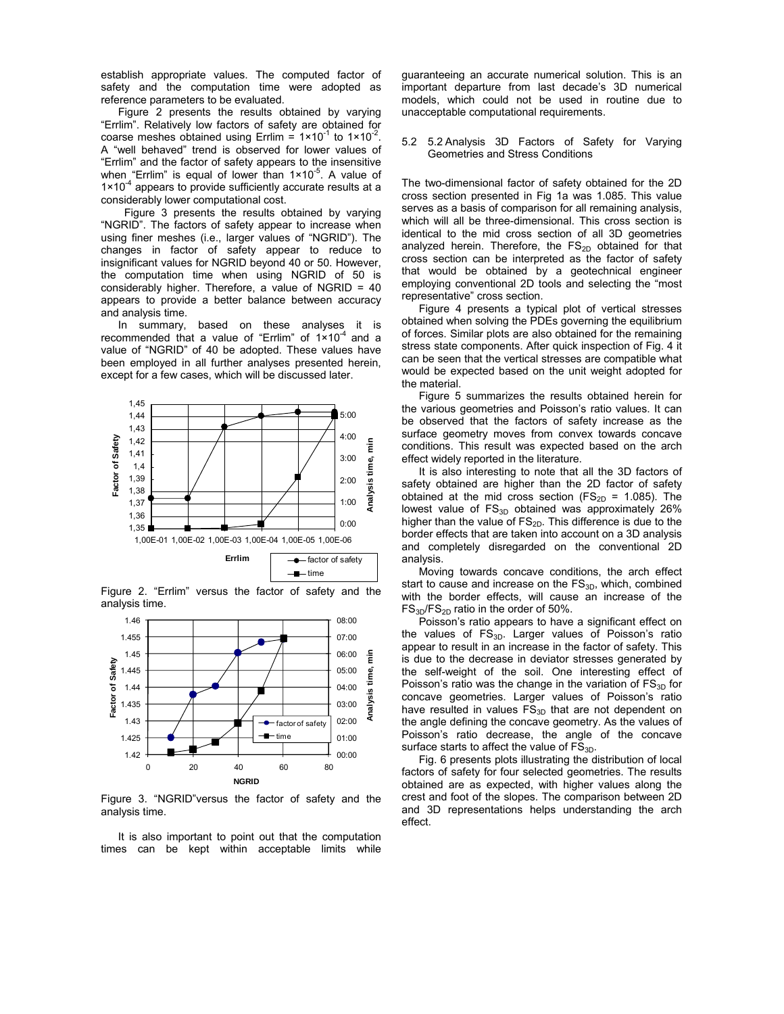establish appropriate values. The computed factor of safety and the computation time were adopted as reference parameters to be evaluated.

Figure 2 presents the results obtained by varying "Errlim". Relatively low factors of safety are obtained for coarse meshes obtained using Errlim =  $1 \times 10^{-1}$  to  $1 \times 10^{-2}$ . A "well behaved" trend is observed for lower values of "Errlim" and the factor of safety appears to the insensitive when "Errlim" is equal of lower than  $1 \times 10^{-5}$ . A value of  $1 \times 10^{-4}$  appears to provide sufficiently accurate results at a considerably lower computational cost.

 Figure 3 presents the results obtained by varying "NGRID". The factors of safety appear to increase when using finer meshes (i.e., larger values of "NGRID"). The changes in factor of safety appear to reduce to insignificant values for NGRID beyond 40 or 50. However, the computation time when using NGRID of 50 is considerably higher. Therefore, a value of NGRID = 40 appears to provide a better balance between accuracy and analysis time.

In summary, based on these analyses it is recommended that a value of "Errlim" of  $1 \times 10^{-4}$  and a value of "NGRID" of 40 be adopted. These values have been employed in all further analyses presented herein, except for a few cases, which will be discussed later.



Figure 2. "Errlim" versus the factor of safety and the analysis time.



Figure 3. "NGRID"versus the factor of safety and the analysis time.

 It is also important to point out that the computation times can be kept within acceptable limits while

guaranteeing an accurate numerical solution. This is an important departure from last decade's 3D numerical models, which could not be used in routine due to unacceptable computational requirements.

5.2 5.2 Analysis 3D Factors of Safety for Varying Geometries and Stress Conditions

The two-dimensional factor of safety obtained for the 2D cross section presented in Fig 1a was 1.085. This value serves as a basis of comparison for all remaining analysis, which will all be three-dimensional. This cross section is identical to the mid cross section of all 3D geometries analyzed herein. Therefore, the  $FS_{2D}$  obtained for that cross section can be interpreted as the factor of safety that would be obtained by a geotechnical engineer employing conventional 2D tools and selecting the "most representative" cross section.

 Figure 4 presents a typical plot of vertical stresses obtained when solving the PDEs governing the equilibrium of forces. Similar plots are also obtained for the remaining stress state components. After quick inspection of Fig. 4 it can be seen that the vertical stresses are compatible what would be expected based on the unit weight adopted for the material.

 Figure 5 summarizes the results obtained herein for the various geometries and Poisson's ratio values. It can be observed that the factors of safety increase as the surface geometry moves from convex towards concave conditions. This result was expected based on the arch effect widely reported in the literature.

 It is also interesting to note that all the 3D factors of safety obtained are higher than the 2D factor of safety obtained at the mid cross section (FS<sub>2D</sub> = 1.085). The lowest value of  $FS_{3D}$  obtained was approximately 26% higher than the value of  $FS_{2D}$ . This difference is due to the border effects that are taken into account on a 3D analysis and completely disregarded on the conventional 2D analysis.

 Moving towards concave conditions, the arch effect start to cause and increase on the  $FS_{3D}$ , which, combined with the border effects, will cause an increase of the  $FS_{3D}/FS_{2D}$  ratio in the order of 50%.

 Poisson's ratio appears to have a significant effect on the values of  $FS_{3D}$ . Larger values of Poisson's ratio appear to result in an increase in the factor of safety. This is due to the decrease in deviator stresses generated by the self-weight of the soil. One interesting effect of Poisson's ratio was the change in the variation of  $FS_{3D}$  for concave geometries. Larger values of Poisson's ratio have resulted in values  $FS_{3D}$  that are not dependent on the angle defining the concave geometry. As the values of Poisson's ratio decrease, the angle of the concave surface starts to affect the value of  $FS_{3D}$ .

 Fig. 6 presents plots illustrating the distribution of local factors of safety for four selected geometries. The results obtained are as expected, with higher values along the crest and foot of the slopes. The comparison between 2D and 3D representations helps understanding the arch effect.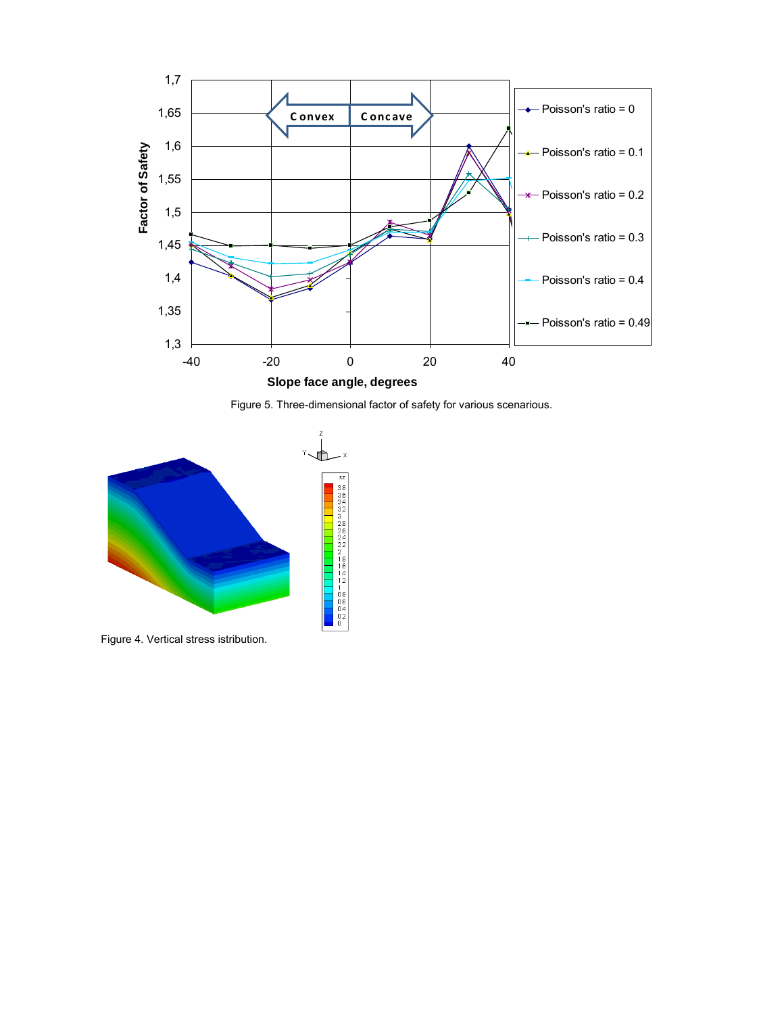





Figure 4. Vertical stress istribution.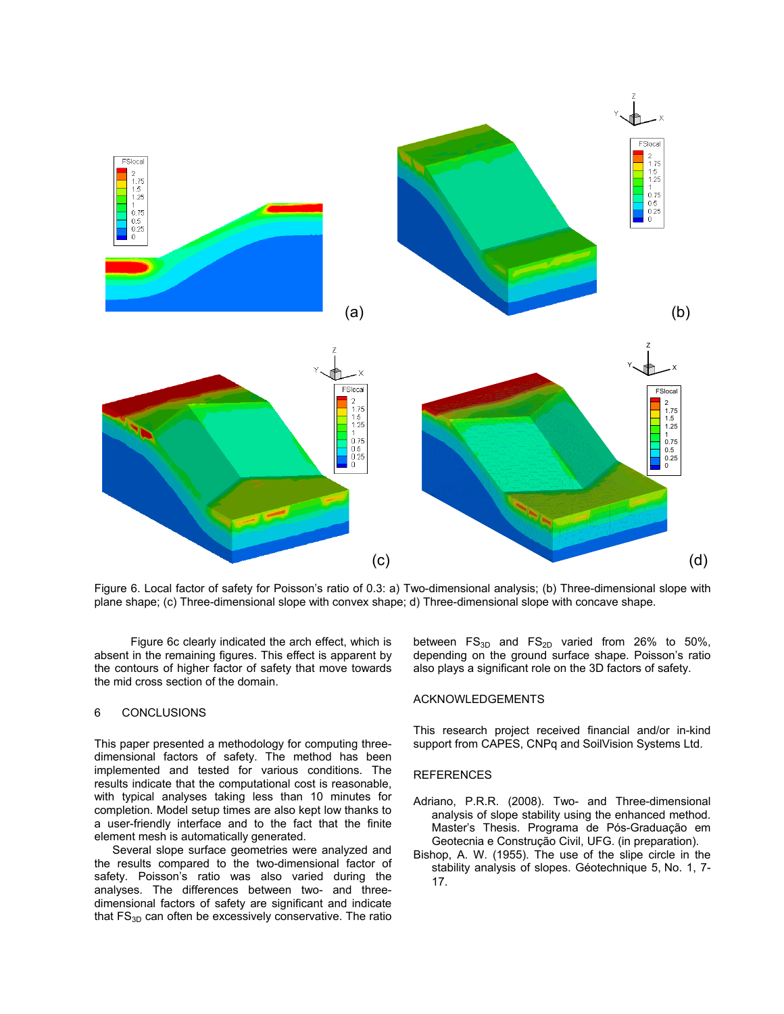

Figure 6. Local factor of safety for Poisson's ratio of 0.3: a) Two-dimensional analysis; (b) Three-dimensional slope with plane shape; (c) Three-dimensional slope with convex shape; d) Three-dimensional slope with concave shape.

Figure 6c clearly indicated the arch effect, which is absent in the remaining figures. This effect is apparent by the contours of higher factor of safety that move towards the mid cross section of the domain.

# 6 CONCLUSIONS

This paper presented a methodology for computing threedimensional factors of safety. The method has been implemented and tested for various conditions. The results indicate that the computational cost is reasonable, with typical analyses taking less than 10 minutes for completion. Model setup times are also kept low thanks to a user-friendly interface and to the fact that the finite element mesh is automatically generated.

 Several slope surface geometries were analyzed and the results compared to the two-dimensional factor of safety. Poisson's ratio was also varied during the analyses. The differences between two- and threedimensional factors of safety are significant and indicate that  $FS_{3D}$  can often be excessively conservative. The ratio

between  $FS_{3D}$  and  $FS_{2D}$  varied from 26% to 50%, depending on the ground surface shape. Poisson's ratio also plays a significant role on the 3D factors of safety.

## ACKNOWLEDGEMENTS

This research project received financial and/or in-kind support from CAPES, CNPq and SoilVision Systems Ltd.

# **REFERENCES**

- Adriano, P.R.R. (2008). Two- and Three-dimensional analysis of slope stability using the enhanced method. Master's Thesis. Programa de Pós-Graduação em Geotecnia e Construção Civil, UFG. (in preparation).
- Bishop, A. W. (1955). The use of the slipe circle in the stability analysis of slopes. Géotechnique 5, No. 1, 7- 17.